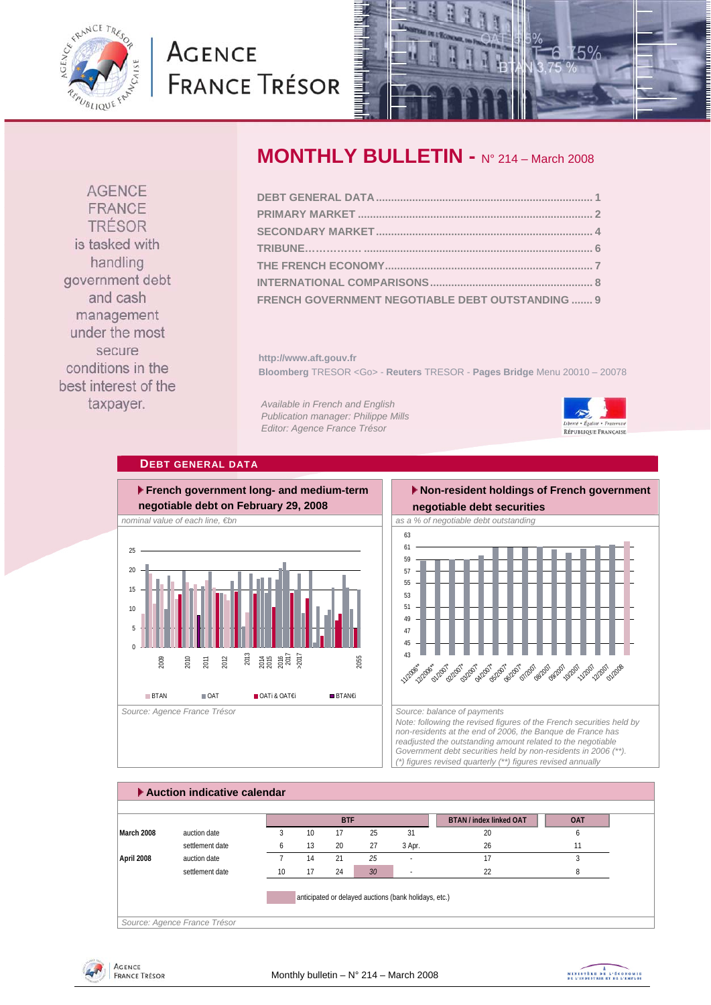<span id="page-0-0"></span>

# **AGENCE FRANCE TRÉSOR**



**AGENCE** FRANCE **TRÉSOR** is tasked with handling government debt and cash management under the most secure conditions in the best interest of the taxpayer.

# **MONTHLY BULLETIN -** N° 214 – March 2008

| FRENCH GOVERNMENT NEGOTIABLE DEBT OUTSTANDING  9 |  |
|--------------------------------------------------|--|

**http://www.aft.gouv.fr Bloomberg** TRESOR <Go> - **Reuters** TRESOR - **Pages Bridge** Menu 20010 – 20078

*Available in French and English Publication manager: Philippe Mills Editor: Agence France Trésor* 



## **DEBT GENERAL DATA**



# **Non-resident holdings of French government**



*Note: following the revised figures of the French securities held by non-residents at the end of 2006, the Banque de France has readjusted the outstanding amount related to the negotiable Government debt securities held by non-residents in 2006 (\*\*). (\*) figures revised quarterly (\*\*) figures revised annually* 

# **Auction indicative calendar**  *Source: Agence France Trésor*  **BTAN / index linked OAT OAT March 2008** auction date 3 10 17 25 31 20 6 settlement date 6 13 20 27 3 Apr. 26 11 **April 2008** auction date 7 14 21 *25* - 17 3 settlement date 10 17 24 30 - 22 8 anticipated or delayed auctions (bank holidays, etc.) **BTF**

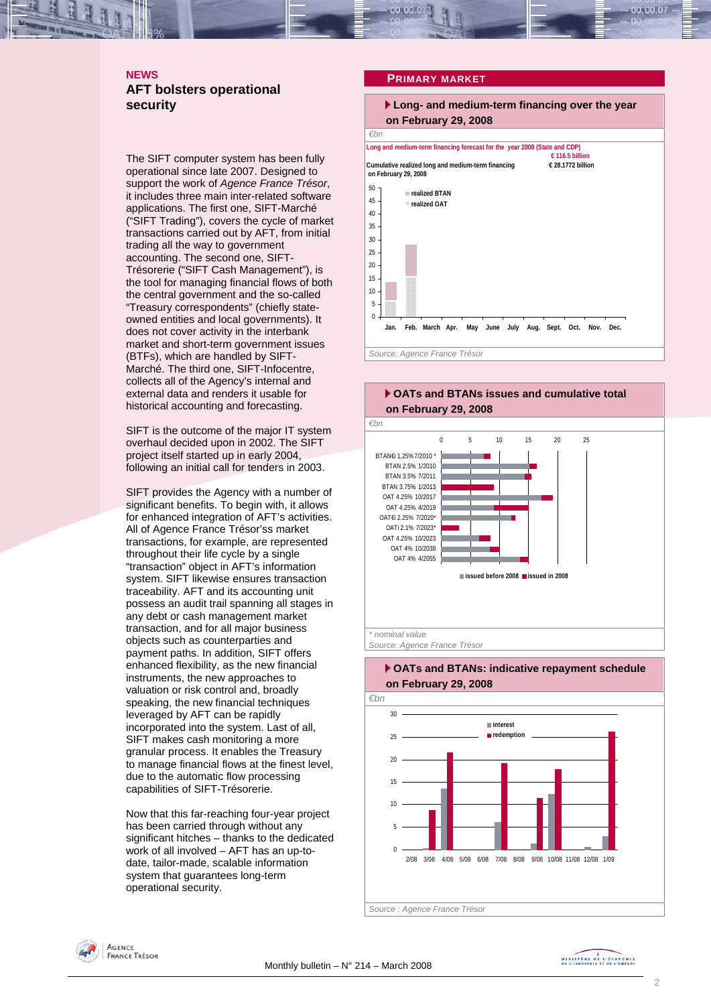## <span id="page-1-0"></span>**NEWS AFT bolsters operational security**

The SIFT computer system has been fully operational since late 2007. Designed to support the work of *Agence France Trésor*, it includes three main inter-related software applications. The first one, SIFT-Marché ("SIFT Trading"), covers the cycle of market transactions carried out by AFT, from initial trading all the way to government accounting. The second one, SIFT-Trésorerie ("SIFT Cash Management"), is the tool for managing financial flows of both the central government and the so-called "Treasury correspondents" (chiefly stateowned entities and local governments). It does not cover activity in the interbank market and short-term government issues (BTFs), which are handled by SIFT-Marché. The third one, SIFT-Infocentre, collects all of the Agency's internal and external data and renders it usable for historical accounting and forecasting.

SIFT is the outcome of the major IT system overhaul decided upon in 2002. The SIFT project itself started up in early 2004, following an initial call for tenders in 2003.

SIFT provides the Agency with a number of significant benefits. To begin with, it allows for enhanced integration of AFT's activities. All of Agence France Trésor'ss market transactions, for example, are represented throughout their life cycle by a single "transaction" object in AFT's information system. SIFT likewise ensures transaction traceability. AFT and its accounting unit possess an audit trail spanning all stages in any debt or cash management market transaction, and for all major business objects such as counterparties and payment paths. In addition, SIFT offers enhanced flexibility, as the new financial instruments, the new approaches to valuation or risk control and, broadly speaking, the new financial techniques leveraged by AFT can be rapidly incorporated into the system. Last of all, SIFT makes cash monitoring a more granular process. It enables the Treasury to manage financial flows at the finest level, due to the automatic flow processing capabilities of SIFT-Trésorerie.

Now that this far-reaching four-year project has been carried through without any significant hitches – thanks to the dedicated work of all involved – AFT has an up-todate, tailor-made, scalable information system that quarantees long-term operational security.

#### **PRIMARY MARKET**





 **OATs and BTANs issues and cumulative total** 



#### **OATs and BTANs: indicative repayment schedule on February 29, 2008**

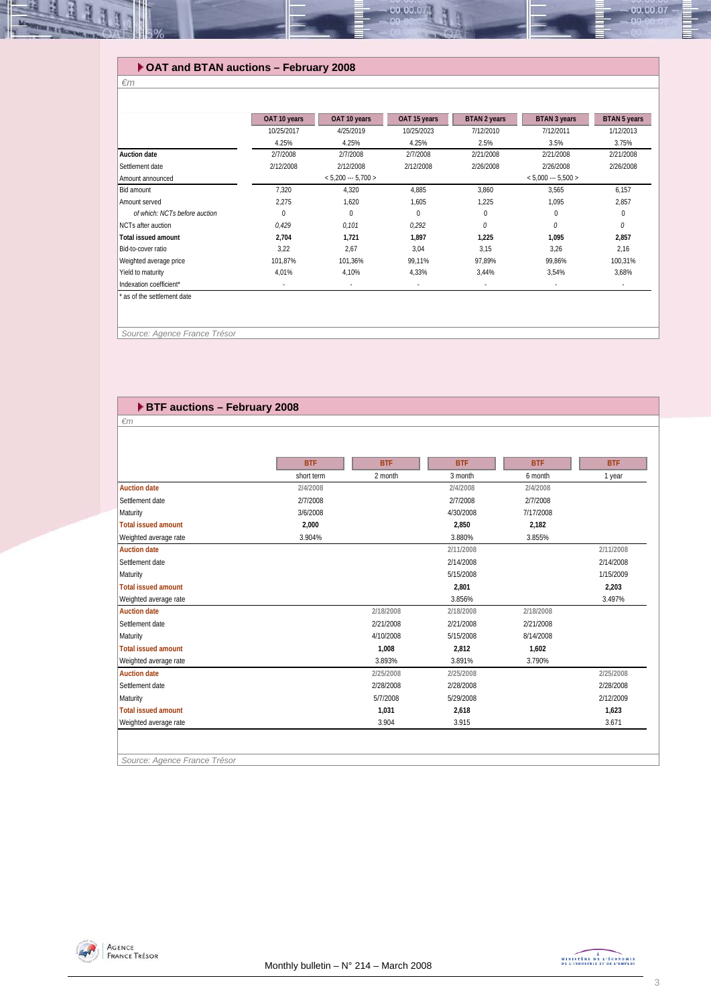## **OAT and BTAN auctions – February 2008**

|                               | OAT 10 years | OAT 10 years         | OAT 15 years | <b>BTAN 2 years</b> | <b>BTAN 3 years</b>  | <b>BTAN 5 years</b> |
|-------------------------------|--------------|----------------------|--------------|---------------------|----------------------|---------------------|
|                               | 10/25/2017   | 4/25/2019            | 10/25/2023   | 7/12/2010           | 7/12/2011            | 1/12/2013           |
|                               | 4.25%        | 4.25%                | 4.25%        | 2.5%                | 3.5%                 | 3.75%               |
| <b>Auction date</b>           | 2/7/2008     | 2/7/2008             | 2/7/2008     | 2/21/2008           | 2/21/2008            | 2/21/2008           |
| Settlement date               | 2/12/2008    | 2/12/2008            | 2/12/2008    | 2/26/2008           | 2/26/2008            | 2/26/2008           |
| Amount announced              |              | $< 5.200 -- 5.700 >$ |              |                     | $< 5,000 -- 5,500 >$ |                     |
| Bid amount                    | 7.320        | 4,320                | 4.885        | 3,860               | 3,565                | 6.157               |
| Amount served                 | 2,275        | 1,620                | 1,605        | 1,225               | 1.095                | 2,857               |
| of which: NCTs before auction | 0            | 0                    | $\Omega$     | $\Omega$            | 0                    | $\Omega$            |
| NCTs after auction            | 0.429        | 0.101                | 0.292        | $\theta$            | 0                    | $\theta$            |
| <b>Total issued amount</b>    | 2.704        | 1.721                | 1.897        | 1.225               | 1.095                | 2,857               |
| Bid-to-cover ratio            | 3,22         | 2,67                 | 3,04         | 3.15                | 3.26                 | 2,16                |
| Weighted average price        | 101,87%      | 101.36%              | 99.11%       | 97,89%              | 99,86%               | 100,31%             |
| Yield to maturity             | 4,01%        | 4.10%                | 4,33%        | 3,44%               | 3,54%                | 3,68%               |
| Indexation coefficient*       |              | ۰                    |              |                     |                      |                     |
| * as of the settlement date   |              |                      |              |                     |                      |                     |

00.00.0

 *Source: Agence France Trésor* 

*€m* 

*€m* 

 **BTF auctions – February 2008 BTF BTF BTF BTF BTF**

|                            | short term | 2 month   | 3 month   | 6 month   | 1 year    |
|----------------------------|------------|-----------|-----------|-----------|-----------|
| <b>Auction date</b>        | 2/4/2008   |           | 2/4/2008  | 2/4/2008  |           |
| Settlement date            | 2/7/2008   |           | 2/7/2008  | 2/7/2008  |           |
| Maturity                   | 3/6/2008   |           | 4/30/2008 | 7/17/2008 |           |
| <b>Total issued amount</b> | 2,000      |           | 2,850     | 2,182     |           |
| Weighted average rate      | 3.904%     |           | 3.880%    | 3.855%    |           |
| <b>Auction date</b>        |            |           | 2/11/2008 |           | 2/11/2008 |
| Settlement date            |            |           | 2/14/2008 |           | 2/14/2008 |
| Maturity                   |            |           | 5/15/2008 |           | 1/15/2009 |
| <b>Total issued amount</b> |            |           | 2,801     |           | 2,203     |
| Weighted average rate      |            |           | 3.856%    |           | 3.497%    |
| <b>Auction date</b>        |            | 2/18/2008 | 2/18/2008 | 2/18/2008 |           |
| Settlement date            |            | 2/21/2008 | 2/21/2008 | 2/21/2008 |           |
| Maturity                   |            | 4/10/2008 | 5/15/2008 | 8/14/2008 |           |
| <b>Total issued amount</b> |            | 1,008     | 2,812     | 1,602     |           |
| Weighted average rate      |            | 3.893%    | 3.891%    | 3.790%    |           |
| <b>Auction date</b>        |            | 2/25/2008 | 2/25/2008 |           | 2/25/2008 |
| Settlement date            |            | 2/28/2008 | 2/28/2008 |           | 2/28/2008 |
| Maturity                   |            | 5/7/2008  | 5/29/2008 |           | 2/12/2009 |
| <b>Total issued amount</b> |            | 1,031     | 2,618     |           | 1,623     |
| Weighted average rate      |            | 3.904     | 3.915     |           | 3.671     |



 $-00.00.07$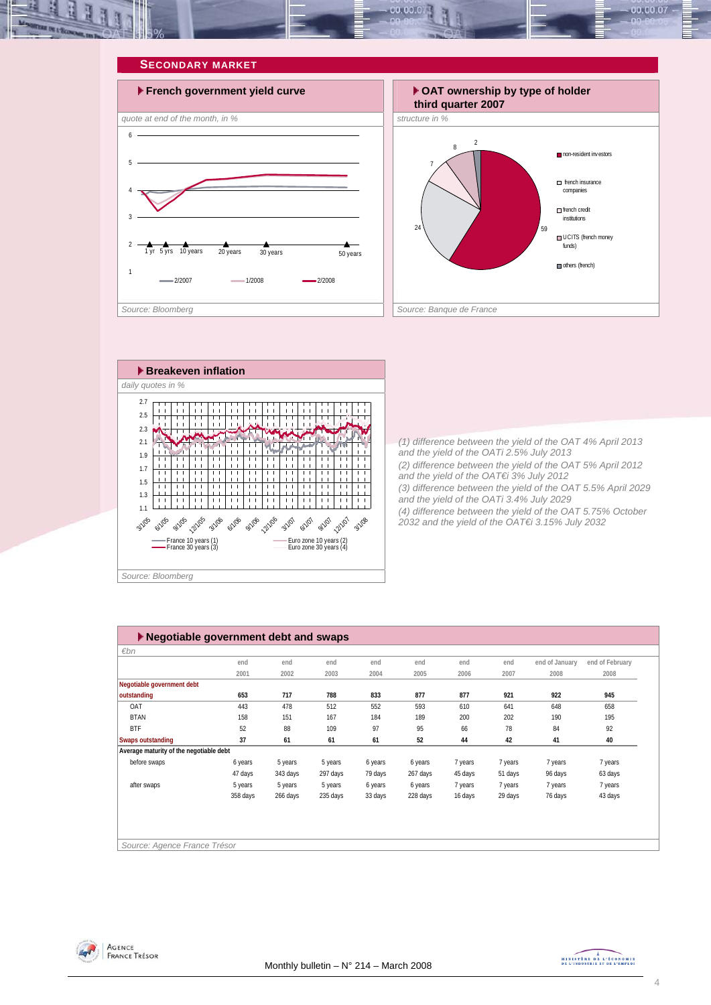<span id="page-3-0"></span>







*(1) difference between the yield of the OAT 4% April 2013 and the yield of the OATi 2.5% July 2013 (2) difference between the yield of the OAT 5% April 2012 and the yield of the OAT€i 3% July 2012 (3) difference between the yield of the OAT 5.5% April 2029 and the yield of the OATi 3.4% July 2029 (4) difference between the yield of the OAT 5.75% October 2032 and the yield of the OAT€i 3.15% July 2032* 

| $\blacktriangleright$ Negotiable government debt and swaps |          |          |          |         |          |         |         |                |                 |
|------------------------------------------------------------|----------|----------|----------|---------|----------|---------|---------|----------------|-----------------|
| €bn                                                        |          |          |          |         |          |         |         |                |                 |
|                                                            | end      | end      | end      | end     | end      | end     | end     | end of January | end of February |
|                                                            | 2001     | 2002     | 2003     | 2004    | 2005     | 2006    | 2007    | 2008           | 2008            |
| Negotiable government debt                                 |          |          |          |         |          |         |         |                |                 |
| outstanding                                                | 653      | 717      | 788      | 833     | 877      | 877     | 921     | 922            | 945             |
| OAT                                                        | 443      | 478      | 512      | 552     | 593      | 610     | 641     | 648            | 658             |
| <b>BTAN</b>                                                | 158      | 151      | 167      | 184     | 189      | 200     | 202     | 190            | 195             |
| <b>BTF</b>                                                 | 52       | 88       | 109      | 97      | 95       | 66      | 78      | 84             | 92              |
| <b>Swaps outstanding</b>                                   | 37       | 61       | 61       | 61      | 52       | 44      | 42      | 41             | 40              |
| Average maturity of the negotiable debt                    |          |          |          |         |          |         |         |                |                 |
| before swaps                                               | 6 years  | 5 years  | 5 years  | 6 years | 6 years  | 7 years | 7 years | 7 years        | 7 years         |
|                                                            | 47 days  | 343 days | 297 days | 79 days | 267 days | 45 days | 51 days | 96 days        | 63 days         |
| after swaps                                                | 5 years  | 5 years  | 5 years  | 6 years | 6 years  | 7 years | 7 years | 7 years        | 7 years         |
|                                                            | 358 days | 266 days | 235 days | 33 days | 228 days | 16 days | 29 days | 76 days        | 43 days         |
|                                                            |          |          |          |         |          |         |         |                |                 |
|                                                            |          |          |          |         |          |         |         |                |                 |
|                                                            |          |          |          |         |          |         |         |                |                 |
| Source: Agence France Trésor                               |          |          |          |         |          |         |         |                |                 |



MINISTRE DE L'ÉCONOMIE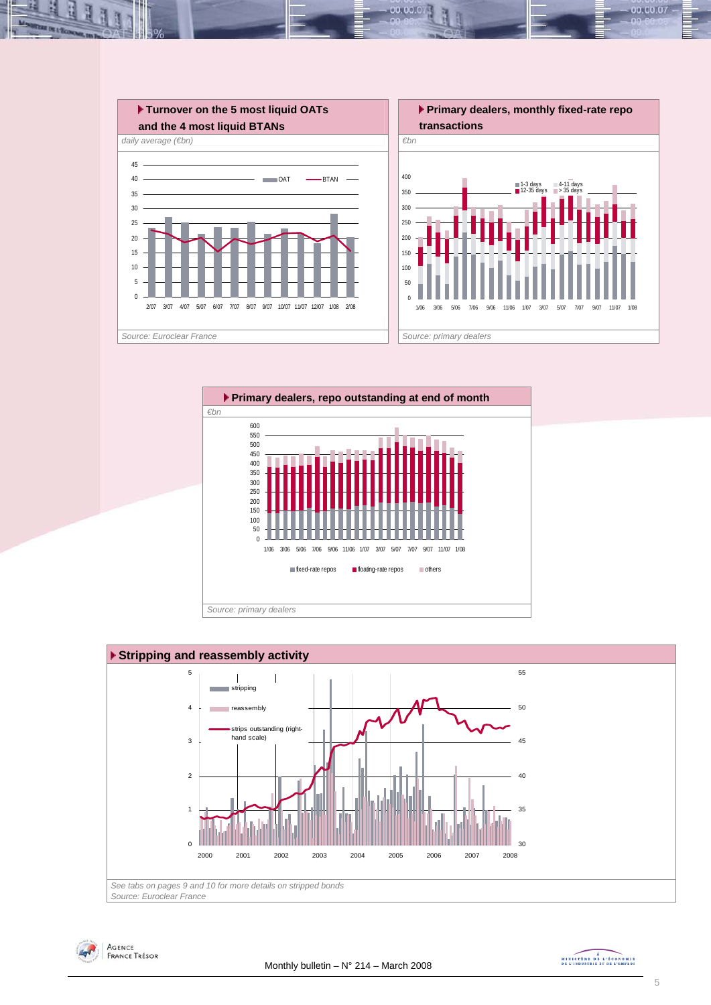

00.001







MINISTRE DE L'ÉCONOMIE

00.00.07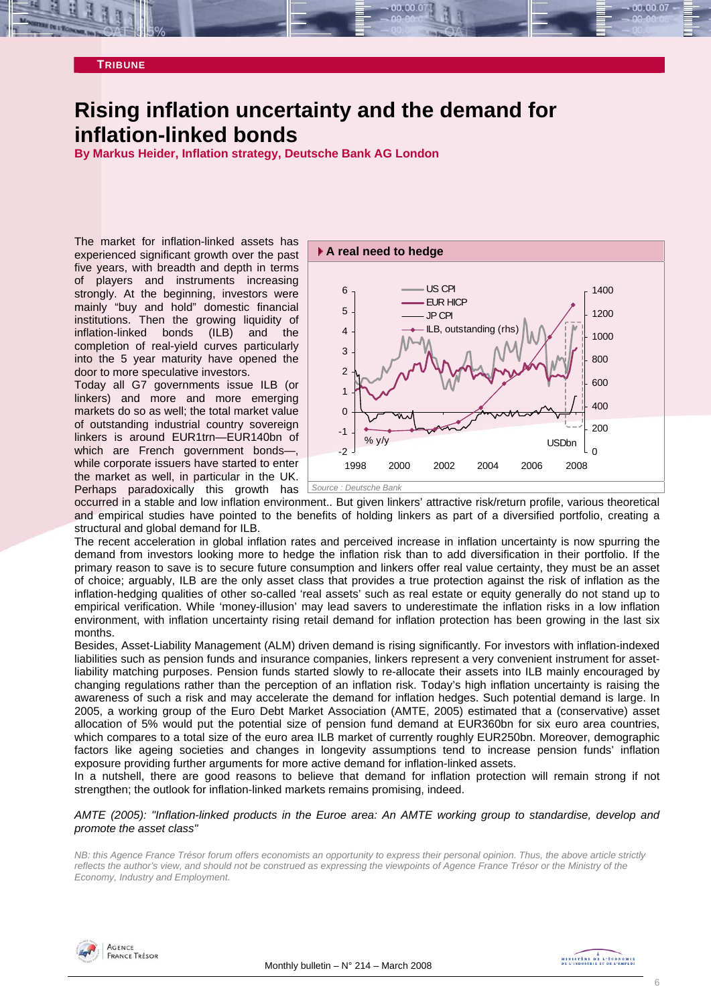#### <span id="page-5-0"></span>**TRIBUNE**

# **Rising inflation uncertainty and the demand for inflation-linked bonds**

**By Markus Heider, Inflation strategy, Deutsche Bank AG London** 

The market for inflation-linked assets has experienced significant growth over the past five years, with breadth and depth in terms of players and instruments increasing strongly. At the beginning, investors were mainly "buy and hold" domestic financial institutions. Then the growing liquidity of inflation-linked bonds (ILB) and the completion of real-yield curves particularly into the 5 year maturity have opened the door to more speculative investors.

Today all G7 governments issue ILB (or linkers) and more and more emerging markets do so as well; the total market value of outstanding industrial country sovereign linkers is around EUR1trn—EUR140bn of which are French government bonds—, while corporate issuers have started to enter the market as well, in particular in the UK. Perhaps paradoxically this growth has



occurred in a stable and low inflation environment.. But given linkers' attractive risk/return profile, various theoretical and empirical studies have pointed to the benefits of holding linkers as part of a diversified portfolio, creating a structural and global demand for ILB.

The recent acceleration in global inflation rates and perceived increase in inflation uncertainty is now spurring the demand from investors looking more to hedge the inflation risk than to add diversification in their portfolio. If the primary reason to save is to secure future consumption and linkers offer real value certainty, they must be an asset of choice; arguably, ILB are the only asset class that provides a true protection against the risk of inflation as the inflation-hedging qualities of other so-called 'real assets' such as real estate or equity generally do not stand up to empirical verification. While 'money-illusion' may lead savers to underestimate the inflation risks in a low inflation environment, with inflation uncertainty rising retail demand for inflation protection has been growing in the last six months.

Besides, Asset-Liability Management (ALM) driven demand is rising significantly. For investors with inflation-indexed liabilities such as pension funds and insurance companies, linkers represent a very convenient instrument for assetliability matching purposes. Pension funds started slowly to re-allocate their assets into ILB mainly encouraged by changing regulations rather than the perception of an inflation risk. Today's high inflation uncertainty is raising the awareness of such a risk and may accelerate the demand for inflation hedges. Such potential demand is large. In 2005, a working group of the Euro Debt Market Association (AMTE, 2005) estimated that a (conservative) asset allocation of 5% would put the potential size of pension fund demand at EUR360bn for six euro area countries, which compares to a total size of the euro area ILB market of currently roughly EUR250bn. Moreover, demographic factors like ageing societies and changes in longevity assumptions tend to increase pension funds' inflation exposure providing further arguments for more active demand for inflation-linked assets.

In a nutshell, there are good reasons to believe that demand for inflation protection will remain strong if not strengthen; the outlook for inflation-linked markets remains promising, indeed.

#### *AMTE (2005): "Inflation-linked products in the Euroe area: An AMTE working group to standardise, develop and promote the asset class"*

*NB: this Agence France Trésor forum offers economists an opportunity to express their personal opinion. Thus, the above article strictly reflects the author's view, and should not be construed as expressing the viewpoints of Agence France Trésor or the Ministry of the Economy, Industry and Employment.* 

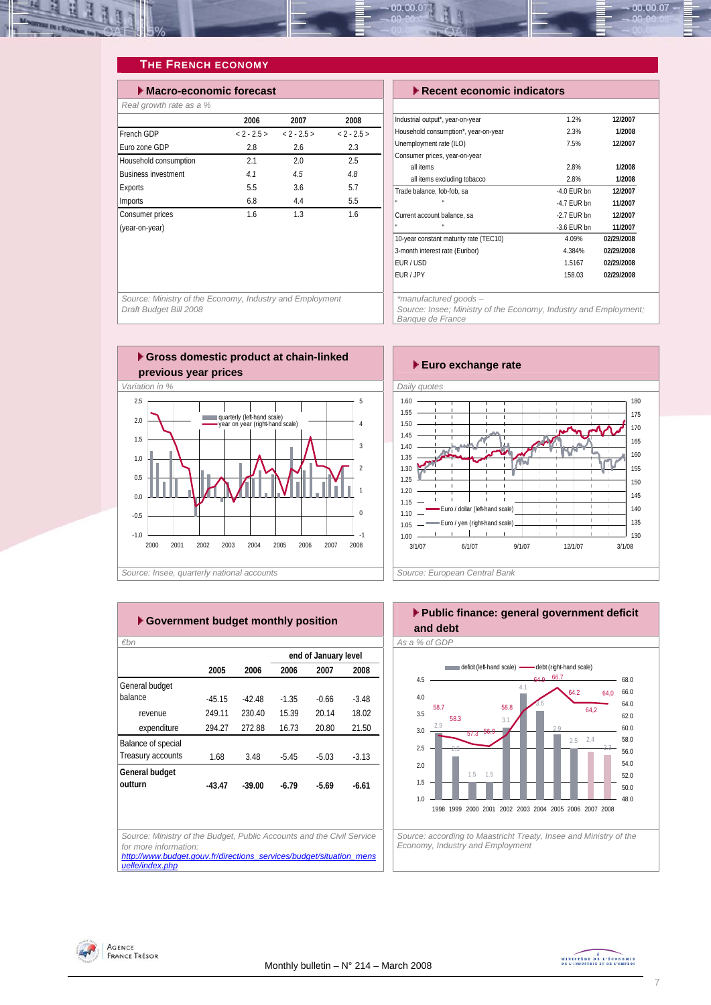<span id="page-6-0"></span>

## **THE FRENCH ECONOMY**

| $\blacktriangleright$ Macro-economic forecast |               | $\blacktriangleright$ Recent economic indicators |               |                                          |
|-----------------------------------------------|---------------|--------------------------------------------------|---------------|------------------------------------------|
| Real growth rate as a %                       |               |                                                  |               |                                          |
|                                               | 2006          | 2007                                             | 2008          | Industrial output*, year-on-year         |
| French GDP                                    | $< 2 - 2.5 >$ | $< 2 - 2.5 >$                                    | $< 2 - 2.5 >$ | Household consumption*, year-on-year     |
| Euro zone GDP                                 | 2.8           | 2.6                                              | 2.3           | Unemployment rate (ILO)                  |
| Household consumption                         | 2.1           | 2.0                                              | 2.5           | Consumer prices, year-on-year            |
| <b>Business investment</b>                    | 4.1           | 4.5                                              | 4.8           | all items<br>all items excluding tobacco |
| <b>Exports</b>                                | 5.5           | 3.6                                              | 5.7           | Trade balance, fob-fob, sa               |
| Imports                                       | 6.8           | 4.4                                              | 5.5           | <b>H</b>                                 |
| Consumer prices                               | 1.6           | 1.3                                              | 1.6           | Current account balance, sa              |
| (year-on-year)                                |               |                                                  |               | ×                                        |
|                                               |               |                                                  |               | 10-year constant maturity rate (TFC10)   |

| $\blacktriangleright$ Recent economic indicators |               |            |  |  |  |  |
|--------------------------------------------------|---------------|------------|--|--|--|--|
|                                                  |               |            |  |  |  |  |
| Industrial output*, year-on-year                 | 1.2%          | 12/2007    |  |  |  |  |
| Household consumption*, year-on-year             | 2.3%          | 1/2008     |  |  |  |  |
| Unemployment rate (ILO)                          | 7.5%          | 12/2007    |  |  |  |  |
| Consumer prices, year-on-year                    |               |            |  |  |  |  |
| all items                                        | 2.8%          | 1/2008     |  |  |  |  |
| all items excluding tobacco                      | 2.8%          | 1/2008     |  |  |  |  |
| Trade balance, fob-fob, sa                       | $-4.0$ FUR bn | 12/2007    |  |  |  |  |
| и                                                | $-4.7$ FUR bn | 11/2007    |  |  |  |  |
| Current account balance, sa                      | -2.7 FUR bn   | 12/2007    |  |  |  |  |
|                                                  | $-3.6$ FUR bn | 11/2007    |  |  |  |  |
| 10-year constant maturity rate (TEC10)           | 4.09%         | 02/29/2008 |  |  |  |  |
| 3-month interest rate (Euribor)                  | 4.384%        | 02/29/2008 |  |  |  |  |
| FUR/USD                                          | 1.5167        | 02/29/2008 |  |  |  |  |
| EUR / JPY                                        | 158.03        | 02/29/2008 |  |  |  |  |
|                                                  |               |            |  |  |  |  |

*Source: Ministry of the Economy, Industry and Employment Draft Budget Bill 2008* 

*\*manufactured goods –* 

*Source: Insee; Ministry of the Economy, Industry and Employment; Banque de France* 





|                    |          |          |         | end of January level |         |
|--------------------|----------|----------|---------|----------------------|---------|
|                    | 2005     | 2006     | 2006    | 2007                 | 2008    |
| General budget     |          |          |         |                      |         |
| balance            | $-45.15$ | $-42.48$ | $-1.35$ | $-0.66$              | $-3.48$ |
| revenue            | 249.11   | 230.40   | 15.39   | 20.14                | 18.02   |
| expenditure        | 294.27   | 272.88   | 16.73   | 20.80                | 21.50   |
| Balance of special |          |          |         |                      |         |
| Treasury accounts  | 1.68     | 3.48     | $-5.45$ | $-5.03$              | $-3.13$ |
| General budget     |          |          |         |                      |         |
| outturn            | $-43.47$ | $-39.00$ | $-6.79$ | $-5.69$              | $-6.61$ |
|                    |          |          |         |                      |         |
|                    |          |          |         |                      |         |



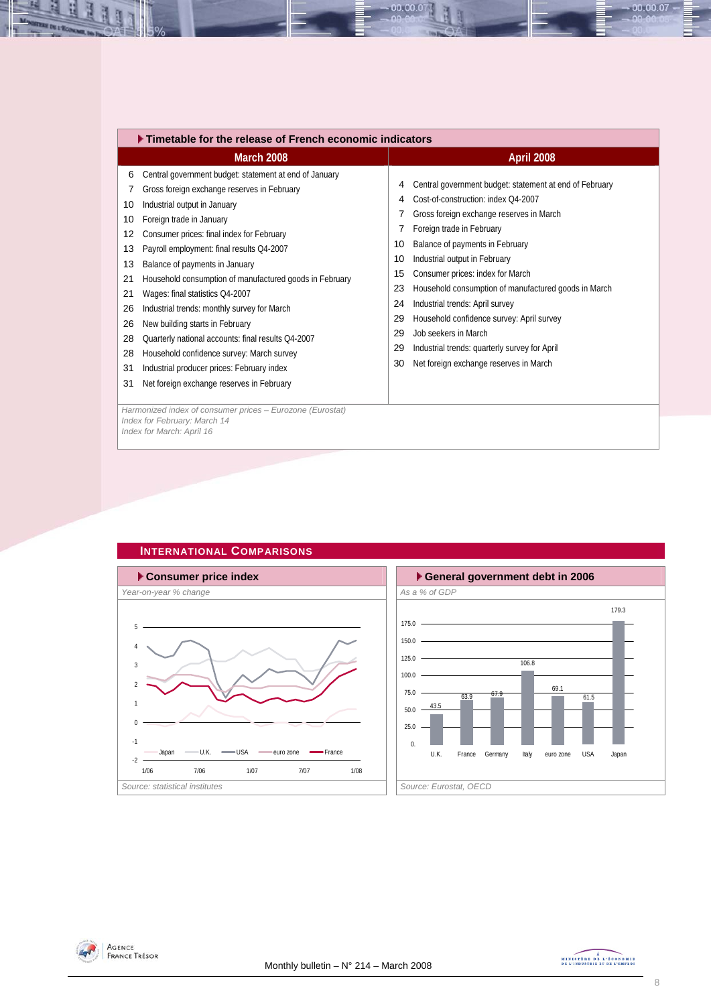<span id="page-7-0"></span>

00.00.0



#### **INTERNATIONAL COMPARISONS**





00.00.07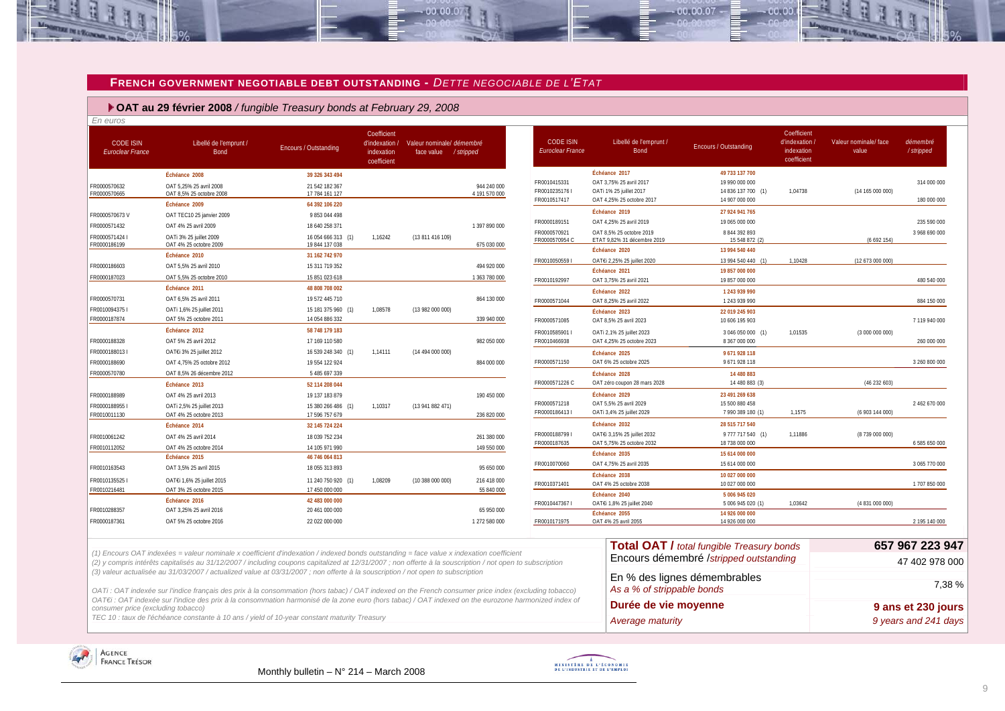#### **FRENCH GOVERNMENT NEGOTIABLE DEBT OUTSTANDING -** *DETTE NEGOCIABLE DE L'ETAT*

 $00,00,0$ 

 **OAT au 29 février 2008** */ fungible Treasury bonds at February 29, 2008*

| En euros                                                        |                                                                                                        |                                                                          |                                                            |                                                    |                                           |                                                |                                                                                                     |                                                                          |                                                           |                                |                                |
|-----------------------------------------------------------------|--------------------------------------------------------------------------------------------------------|--------------------------------------------------------------------------|------------------------------------------------------------|----------------------------------------------------|-------------------------------------------|------------------------------------------------|-----------------------------------------------------------------------------------------------------|--------------------------------------------------------------------------|-----------------------------------------------------------|--------------------------------|--------------------------------|
| <b>CODE ISIN</b><br><b>Euroclear France</b>                     | Libellé de l'emprunt /<br><b>Bond</b>                                                                  | <b>Encours / Outstanding</b>                                             | Coefficient<br>d'indexation /<br>indexation<br>coefficient | Valeur nominale/ démembré<br>face value / stripped |                                           | <b>CODE ISIN</b><br><b>Euroclear France</b>    | Libellé de l'emprunt /<br><b>Bond</b>                                                               | <b>Encours / Outstanding</b>                                             | Coefficient<br>d'indexation.<br>indexation<br>coefficient | Valeur nominale/ face<br>value | démembré<br>/stripped          |
| FR0000570632<br>FR0000570665                                    | Échéance 2008<br>OAT 5.25% 25 avril 2008<br>OAT 8,5% 25 octobre 2008<br>Échéance 2009                  | 39 326 343 494<br>21 542 182 367<br>17 784 161 127<br>64 392 106 220     |                                                            |                                                    | 944 240 000<br>4 191 570 000              | FR0010415331<br>FR00102351761<br>FR0010517417  | Échéance 2017<br>OAT 3.75% 25 avril 2017<br>OATi 1% 25 juillet 2017<br>OAT 4,25% 25 octobre 2017    | 49 733 137 700<br>19 990 000 000<br>14 836 137 700 (1)<br>14 907 000 000 | 1,04738                                                   | (14165000000)                  | 314 000 000<br>180 000 000     |
| FR0000570673V<br>FR0000571432<br>FR0000571424 I<br>FR0000186199 | OAT TEC10 25 janvier 2009<br>OAT 4% 25 avril 2009<br>OATi 3% 25 juillet 2009<br>OAT 4% 25 octobre 2009 | 9 853 044 498<br>18 640 258 371<br>16 054 666 313 (1)<br>19 844 137 038  | 1,16242                                                    | (13811416109)                                      | 1 397 890 000<br>675 030 000              | FR0000189151<br>FR0000570921<br>FR0000570954 C | Échéance 2019<br>OAT 4.25% 25 avril 2019<br>OAT 8.5% 25 octobre 2019<br>ETAT 9,82% 31 décembre 2019 | 27 924 941 765<br>19 065 000 000<br>8 844 392 893<br>15 548 872 (2)      |                                                           | (6692154)                      | 235 590 000<br>3 968 690 000   |
| FR0000186603<br>FR0000187023                                    | Échéance 2010<br>OAT 5,5% 25 avril 2010<br>OAT 5.5% 25 octobre 2010                                    | 31 162 742 970<br>15 311 719 352<br>15 851 023 618                       |                                                            |                                                    | 494 920 000<br>1 363 780 000              | FR00100505591<br>FR0010192997                  | Échéance 2020<br>OAT€i 2,25% 25 juillet 2020<br>Échéance 2021<br>OAT 3,75% 25 avril 2021            | 13 994 540 440<br>13 994 540 440 (1)<br>19 857 000 000<br>19 857 000 000 | 1.10428                                                   | (12 673 000 000)               | 480 540 000                    |
| FR0000570731<br>FR00100943751<br>FR0000187874                   | Échéance 2011<br>OAT 6.5% 25 avril 2011<br>OATi 1,6% 25 juillet 2011<br>OAT 5% 25 octobre 2011         | 48 808 708 002<br>19 572 445 710<br>15 181 375 960 (1)<br>14 054 886 332 | 1.08578                                                    | (13982000000)                                      | 864 130 000<br>339 940 000                | FR0000571044<br>FR0000571085                   | Échéance 2022<br>OAT 8,25% 25 avril 2022<br>Échéance 2023<br>OAT 8.5% 25 avril 2023                 | 1 243 939 990<br>1 243 939 990<br>22 019 245 903<br>10 606 195 903       |                                                           |                                | 884 150 000<br>7 119 940 000   |
| FR0000188328<br>FR00001880131                                   | Échéance 2012<br>OAT 5% 25 avril 2012<br>OAT€i 3% 25 juillet 2012                                      | 58 748 179 183<br>17 169 110 580<br>16 539 248 340 (1)                   | 1,14111                                                    | (14494000000)                                      | 982 050 000                               | FR0010585901<br>FR0010466938                   | OATi 2,1% 25 juillet 2023<br>OAT 4.25% 25 octobre 2023<br>Échéance 2025                             | 3 046 050 000 (1)<br>8 367 000 000<br>9671928118                         | 1.01535                                                   | (3000000000)                   | 260 000 000                    |
| FR0000188690<br>FR0000570780                                    | OAT 4,75% 25 octobre 2012<br>OAT 8,5% 26 décembre 2012<br>Échéance 2013                                | 19 554 122 924<br>5 485 697 339<br>52 114 208 044                        |                                                            |                                                    | 884 000 000                               | FR0000571150<br>FR0000571226 C                 | OAT 6% 25 octobre 2025<br>Échéance 2028<br>OAT zéro coupon 28 mars 2028                             | 9671928118<br>14 480 883<br>14 480 883 (3)                               |                                                           | (46232603)                     | 3 260 800 000                  |
| FR0000188989<br>FR00001889551<br>FR0010011130                   | OAT 4% 25 avril 2013<br>OATi 2,5% 25 juillet 2013<br>OAT 4% 25 octobre 2013                            | 19 137 183 879<br>15 380 266 486 (1)<br>17 596 757 679                   | 1,10317                                                    | (13 941 882 471)                                   | 190 450 000<br>236 820 000                | FR0000571218<br>FR00001864131                  | Échéance 2029<br>OAT 5.5% 25 avril 2029<br>OATi 3,4% 25 juillet 2029                                | 23 491 269 638<br>15 500 880 458<br>7 990 389 180 (1)                    | 1,1575                                                    | (6 903 144 000)                | 2 462 670 000                  |
| FR0010061242<br>FR0010112052                                    | Échéance 2014<br>OAT 4% 25 avril 2014<br>OAT 4% 25 octobre 2014                                        | 32 145 724 224<br>18 039 752 234<br>14 105 971 990                       |                                                            |                                                    | 261 380 000<br>149 550 000                | FR00001887991<br>FR0000187635                  | Échéance 2032<br>OAT€i 3,15% 25 juillet 2032<br>OAT 5,75% 25 octobre 2032                           | 28 515 717 540<br>9 777 717 540 (1)<br>18 738 000 000                    | 1,11886                                                   | (8739000000)                   | 6 585 650 000                  |
| FR0010163543<br>FR00101355251                                   | Échéance 2015<br>OAT 3,5% 25 avril 2015<br>OAT€i 1,6% 25 juillet 2015                                  | 46 746 064 813<br>18 055 313 893<br>11 240 750 920 (1)                   | 1,08209                                                    | (10388000000)                                      | 95 650 000<br>216 418 000                 | FR0010070060<br>FR0010371401                   | Échéance 2035<br>OAT 4,75% 25 avril 2035<br>Échéance 2038<br>OAT 4% 25 octobre 2038                 | 15 614 000 000<br>15 614 000 000<br>10 027 000 000<br>10 027 000 000     |                                                           |                                | 3 065 770 000<br>1 707 850 000 |
| FR0010216481<br>FR0010288357<br>FR0000187361                    | OAT 3% 25 octobre 2015<br>Échéance 2016<br>OAT 3.25% 25 avril 2016<br>OAT 5% 25 octobre 2016           | 17 450 000 000<br>42 483 000 000<br>20 461 000 000<br>22 022 000 000     |                                                            |                                                    | 55 840 000<br>65 950 000<br>1 272 580 000 | FR00104473671<br>FR0010171975                  | Échéance 2040<br>OAT€i 1,8% 25 juillet 2040<br>Échéance 2055<br>OAT 4% 25 avril 2055                | 5 006 945 020<br>5 006 945 020 (1)<br>14 926 000 000<br>14 926 000 000   | 1,03642                                                   | (4 831 000 000)                | 2 195 140 000                  |

*(1) Encours OAT indexées = valeur nominale x coefficient d'indexation / indexed bonds outstanding = face value x indexation coefficient (2) y compris intérêts capitalisés au 31/12/2007 / including coupons capitalized at 12/31/2007 ; non offerte à la souscription / not open to subscription (3) valeur actualisée au 31/03/2007 / actualized value at 03/31/2007 ; non offerte à la souscription / not open to subscription*

*OATi : OAT indexée sur l'indice français des prix à la consommation (hors tabac) / OAT indexed on the French consumer price index (excluding tobacco) OAT€i : OAT indexée sur l'indice des prix à la consommation harmonisé de la zone euro (hors tabac) / OAT indexed on the eurozone harmonized index of consumer price (excluding tobacco) TEC 10 : taux de l'échéance constante à 10 ans / yield of 10-year constant maturity Treasury* Average maturity 9 years and 241 days and 241 days and 241 days and 241 days and 241 days and 241 days and 241 days and 241 day

| Total OAT / total fungible Treasury bonds                  | 657 967 223 947      |
|------------------------------------------------------------|----------------------|
| Encours démembré /stripped outstanding                     | 47 402 978 000       |
| En % des lignes démembrables<br>As a % of strippable bonds | 7.38 %               |
| Durée de vie moyenne                                       | 9 ans et 230 jours   |
| Average maturity                                           | 9 years and 241 days |

<span id="page-8-0"></span>